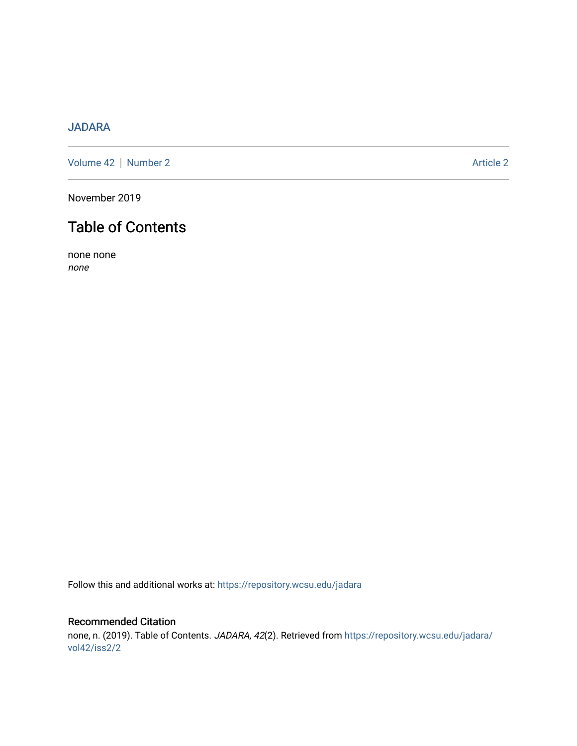## [JADARA](https://repository.wcsu.edu/jadara)

[Volume 42](https://repository.wcsu.edu/jadara/vol42) | [Number 2](https://repository.wcsu.edu/jadara/vol42/iss2) Article 2

November 2019

# Table of Contents

none none none

Follow this and additional works at: [https://repository.wcsu.edu/jadara](https://repository.wcsu.edu/jadara?utm_source=repository.wcsu.edu%2Fjadara%2Fvol42%2Fiss2%2F2&utm_medium=PDF&utm_campaign=PDFCoverPages)

### Recommended Citation none, n. (2019). Table of Contents. JADARA, 42(2). Retrieved from [https://repository.wcsu.edu/jadara/](https://repository.wcsu.edu/jadara/vol42/iss2/2?utm_source=repository.wcsu.edu%2Fjadara%2Fvol42%2Fiss2%2F2&utm_medium=PDF&utm_campaign=PDFCoverPages) [vol42/iss2/2](https://repository.wcsu.edu/jadara/vol42/iss2/2?utm_source=repository.wcsu.edu%2Fjadara%2Fvol42%2Fiss2%2F2&utm_medium=PDF&utm_campaign=PDFCoverPages)